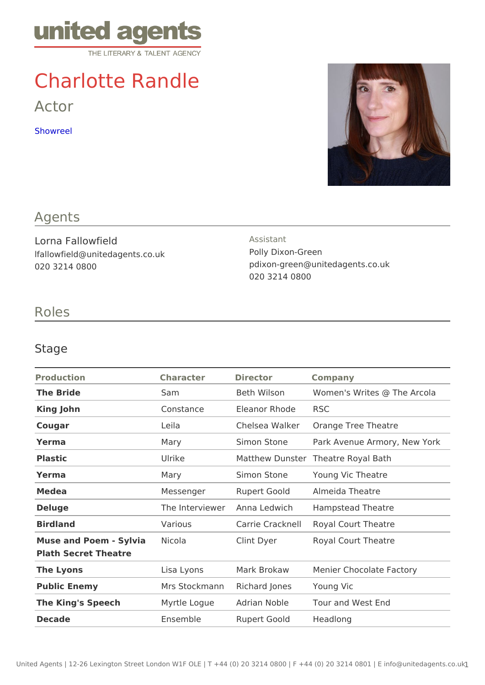# Charlotte Randle

Actor

[Showre](https://vimeo.com/159054971)el

## Agents

Lorna Fallowfield lfallowfield@unitedagents.co.uk 020 3214 0800

Assistant Polly Dixon-Green pdixon-green@unitedagents.co.uk 020 3214 0800

# Roles

#### Stage

| Production                                         | Character  | Director                            | Company                                       |
|----------------------------------------------------|------------|-------------------------------------|-----------------------------------------------|
| The Bride                                          | Sam        |                                     | Beth Wilson Women's Writes @ The Arcola       |
| King John                                          | Constance  | Eleanor RhodRSC                     |                                               |
| Cougar                                             | Leila      |                                     | Chelsea Walk@range Tree Theatre               |
| Yerma                                              | Mary       |                                     | Simon Stone Park Avenue Armory, New Yor       |
| Plastic                                            | Ulrike     |                                     | Matthew DunsTheatre Royal Bath                |
| Yerma                                              | Mary       |                                     | Simon Stone Young Vic Theatre                 |
| Medea                                              | Messenger  |                                     | Rupert Goold Almeida Theatre                  |
| Deluge                                             |            |                                     | The Interview Perna Ledwich Hampstead Theatre |
| Birdland                                           | Various    |                                     | Carrie CracknRedlyal Court Theatre            |
| Muse and Poem - SylvNacola<br>Plath Secret Theatre |            |                                     | Clint Dyer Royal Court Theatre                |
| The Lyons                                          | Lisa Lyons |                                     | Mark Brokaw Menier Chocolate Factory          |
| Public Enemy                                       |            | Mrs StockmanRhichard JonesYoung Vic |                                               |
| The King's Speech                                  |            |                                     | Myrtle Logue Adrian Noble Tour and West End   |
| Decade                                             | Ensemble   | Rupert Goold Headlong               |                                               |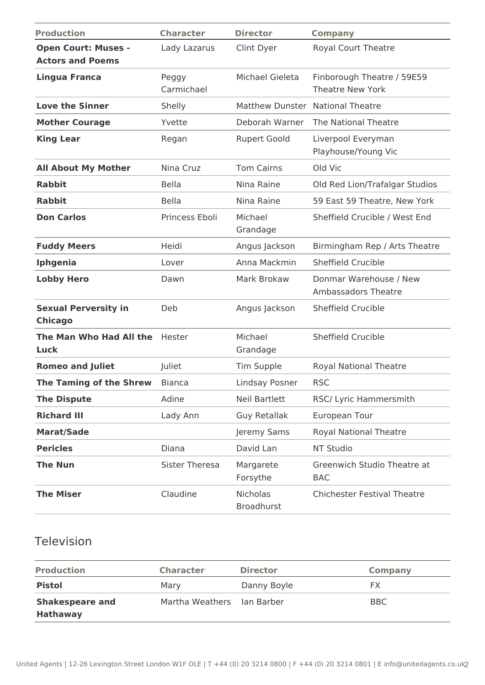| <b>Production</b>                                     | <b>Character</b>      | <b>Director</b>                      | <b>Company</b>                                        |
|-------------------------------------------------------|-----------------------|--------------------------------------|-------------------------------------------------------|
| <b>Open Court: Muses -</b><br><b>Actors and Poems</b> | Lady Lazarus          | Clint Dyer                           | Royal Court Theatre                                   |
| <b>Lingua Franca</b>                                  | Peggy<br>Carmichael   | Michael Gieleta                      | Finborough Theatre / 59E59<br><b>Theatre New York</b> |
| <b>Love the Sinner</b>                                | Shelly                | Matthew Dunster National Theatre     |                                                       |
| <b>Mother Courage</b>                                 | Yvette                | Deborah Warner                       | The National Theatre                                  |
| <b>King Lear</b>                                      | Regan                 | <b>Rupert Goold</b>                  | Liverpool Everyman<br>Playhouse/Young Vic             |
| <b>All About My Mother</b>                            | Nina Cruz             | <b>Tom Cairns</b>                    | Old Vic                                               |
| <b>Rabbit</b>                                         | <b>Bella</b>          | Nina Raine                           | Old Red Lion/Trafalgar Studios                        |
| <b>Rabbit</b>                                         | <b>Bella</b>          | Nina Raine                           | 59 East 59 Theatre, New York                          |
| <b>Don Carlos</b>                                     | Princess Eboli        | Michael<br>Grandage                  | Sheffield Crucible / West End                         |
| <b>Fuddy Meers</b>                                    | Heidi                 | Angus Jackson                        | Birmingham Rep / Arts Theatre                         |
| Iphgenia                                              | Lover                 | Anna Mackmin                         | <b>Sheffield Crucible</b>                             |
| <b>Lobby Hero</b>                                     | Dawn                  | Mark Brokaw                          | Donmar Warehouse / New<br>Ambassadors Theatre         |
| <b>Sexual Perversity in</b><br><b>Chicago</b>         | Deb                   | Angus Jackson                        | <b>Sheffield Crucible</b>                             |
| The Man Who Had All the<br>Luck                       | Hester                | Michael<br>Grandage                  | <b>Sheffield Crucible</b>                             |
| <b>Romeo and Juliet</b>                               | Juliet                | Tim Supple                           | <b>Royal National Theatre</b>                         |
| <b>The Taming of the Shrew</b>                        | <b>Bianca</b>         | Lindsay Posner                       | <b>RSC</b>                                            |
| <b>The Dispute</b>                                    | Adine                 | Neil Bartlett                        | RSC/ Lyric Hammersmith                                |
| <b>Richard III</b>                                    | Lady Ann              | <b>Guy Retallak</b>                  | European Tour                                         |
| <b>Marat/Sade</b>                                     |                       | Jeremy Sams                          | <b>Royal National Theatre</b>                         |
| <b>Pericles</b>                                       | Diana                 | David Lan                            | NT Studio                                             |
| <b>The Nun</b>                                        | <b>Sister Theresa</b> | Margarete<br>Forsythe                | Greenwich Studio Theatre at<br><b>BAC</b>             |
| <b>The Miser</b>                                      | Claudine              | <b>Nicholas</b><br><b>Broadhurst</b> | <b>Chichester Festival Theatre</b>                    |

### Television

| <b>Production</b>                         | <b>Character</b>           | <b>Director</b> | Company |
|-------------------------------------------|----------------------------|-----------------|---------|
| <b>Pistol</b>                             | Mary                       | Danny Boyle     | FX.     |
| <b>Shakespeare and</b><br><b>Hathaway</b> | Martha Weathers Ian Barber |                 | BBC.    |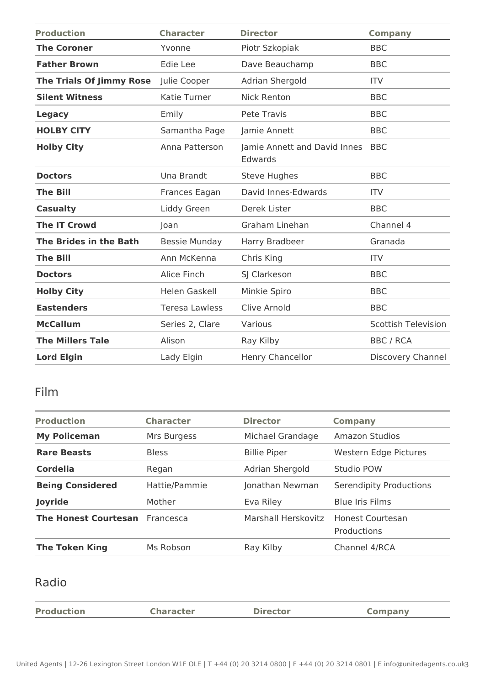| <b>Production</b>               | <b>Character</b>      | <b>Director</b>                         | <b>Company</b>             |
|---------------------------------|-----------------------|-----------------------------------------|----------------------------|
| <b>The Coroner</b>              | Yvonne                | Piotr Szkopiak                          | <b>BBC</b>                 |
| <b>Father Brown</b>             | Edie Lee              | Dave Beauchamp                          | <b>BBC</b>                 |
| <b>The Trials Of Jimmy Rose</b> | Julie Cooper          | Adrian Shergold                         | <b>ITV</b>                 |
| <b>Silent Witness</b>           | Katie Turner          | <b>Nick Renton</b>                      | <b>BBC</b>                 |
| <b>Legacy</b>                   | Emily                 | Pete Travis                             | <b>BBC</b>                 |
| <b>HOLBY CITY</b>               | Samantha Page         | Jamie Annett                            | <b>BBC</b>                 |
| <b>Holby City</b>               | Anna Patterson        | Jamie Annett and David Innes<br>Edwards | <b>BBC</b>                 |
| <b>Doctors</b>                  | Una Brandt            | <b>Steve Hughes</b>                     | <b>BBC</b>                 |
| <b>The Bill</b>                 | Frances Eagan         | David Innes-Edwards                     | <b>ITV</b>                 |
| <b>Casualty</b>                 | Liddy Green           | Derek Lister                            | <b>BBC</b>                 |
| <b>The IT Crowd</b>             | Joan                  | Graham Linehan                          | Channel 4                  |
| The Brides in the Bath          | <b>Bessie Munday</b>  | Harry Bradbeer                          | Granada                    |
| <b>The Bill</b>                 | Ann McKenna           | Chris King                              | <b>ITV</b>                 |
| <b>Doctors</b>                  | Alice Finch           | SJ Clarkeson                            | <b>BBC</b>                 |
| <b>Holby City</b>               | Helen Gaskell         | Minkie Spiro                            | <b>BBC</b>                 |
| <b>Eastenders</b>               | <b>Teresa Lawless</b> | Clive Arnold                            | <b>BBC</b>                 |
| <b>McCallum</b>                 | Series 2, Clare       | Various                                 | <b>Scottish Television</b> |
| <b>The Millers Tale</b>         | Alison                | Ray Kilby                               | <b>BBC / RCA</b>           |
| <b>Lord Elgin</b>               | Lady Elgin            | <b>Henry Chancellor</b>                 | Discovery Channel          |

# Film

| <b>Production</b>           | <b>Character</b> | <b>Director</b>     | Company                         |
|-----------------------------|------------------|---------------------|---------------------------------|
|                             |                  |                     |                                 |
| <b>My Policeman</b>         | Mrs Burgess      | Michael Grandage    | <b>Amazon Studios</b>           |
| <b>Rare Beasts</b>          | <b>Bless</b>     | <b>Billie Piper</b> | Western Edge Pictures           |
| <b>Cordelia</b>             | Regan            | Adrian Shergold     | Studio POW                      |
| <b>Being Considered</b>     | Hattie/Pammie    | Jonathan Newman     | Serendipity Productions         |
| Joyride                     | Mother           | Eva Riley           | <b>Blue Iris Films</b>          |
| <b>The Honest Courtesan</b> | Francesca        | Marshall Herskovitz | Honest Courtesan<br>Productions |
| <b>The Token King</b>       | Ms Robson        | Ray Kilby           | Channel 4/RCA                   |

# Radio

| <b>Production</b> | <b>Character</b> | <b>Director</b> | <b>Company</b> |
|-------------------|------------------|-----------------|----------------|
|                   |                  |                 |                |